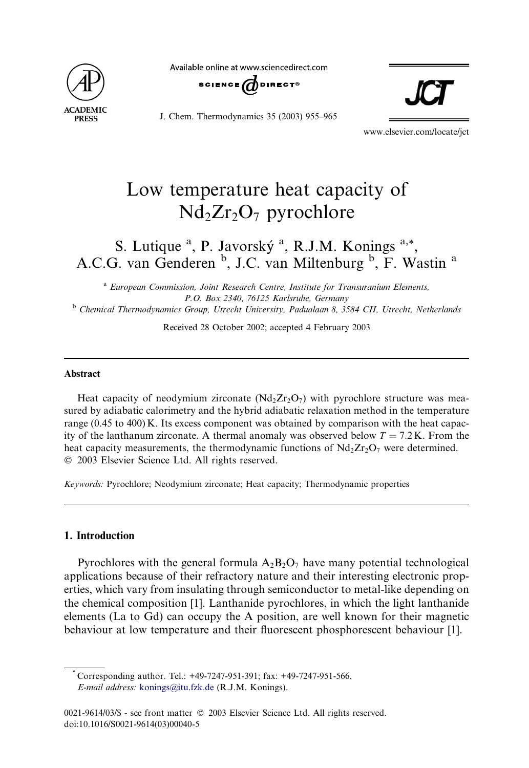

Available online at www.sciencedirect.com



J. Chem. Thermodynamics 35 (2003) 955–965



www.elsevier.com/locate/jct

# Low temperature heat capacity of  $Nd_2Zr_2O_7$  pyrochlore

# S. Lutique <sup>a</sup>, P. Javorský <sup>a</sup>, R.J.M. Konings <sup>a,\*</sup>, A.C.G. van Genderen <sup>b</sup>, J.C. van Miltenburg <sup>b</sup>, F. Wastin <sup>a</sup>

<sup>a</sup> European Commission, Joint Research Centre, Institute for Transuranium Elements, P.O. Box 2340, 76125 Karlsruhe, Germany <sup>b</sup> Chemical Thermodynamics Group, Utrecht University, Padualaan 8, 3584 CH, Utrecht, Netherlands

Received 28 October 2002; accepted 4 February 2003

#### Abstract

Heat capacity of neodymium zirconate  $(Nd_2Zr_2O_7)$  with pyrochlore structure was measured by adiabatic calorimetry and the hybrid adiabatic relaxation method in the temperature range (0.45 to 400) K. Its excess component was obtained by comparison with the heat capacity of the lanthanum zirconate. A thermal anomaly was observed below  $T = 7.2$  K. From the heat capacity measurements, the thermodynamic functions of  $Nd_2Zr_2O_7$  were determined. 2003 Elsevier Science Ltd. All rights reserved.

Keywords: Pyrochlore; Neodymium zirconate; Heat capacity; Thermodynamic properties

### 1. Introduction

Pyrochlores with the general formula  $A_2B_2O_7$  have many potential technological applications because of their refractory nature and their interesting electronic properties, which vary from insulating through semiconductor to metal-like depending on the chemical composition [1]. Lanthanide pyrochlores, in which the light lanthanide elements (La to Gd) can occupy the A position, are well known for their magnetic behaviour at low temperature and their fluorescent phosphorescent behaviour [1].

<sup>\*</sup> Corresponding author. Tel.: +49-7247-951-391; fax: +49-7247-951-566. E-mail address: [konings@itu.fzk.de](mail to: konings@itu.fzk.de) (R.J.M. Konings).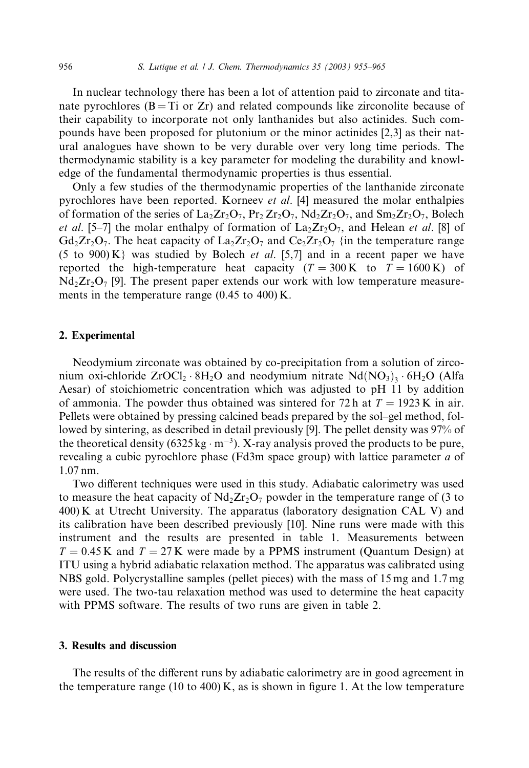In nuclear technology there has been a lot of attention paid to zirconate and titanate pyrochlores  $(B = Ti \text{ or } Zr)$  and related compounds like zirconolite because of their capability to incorporate not only lanthanides but also actinides. Such compounds have been proposed for plutonium or the minor actinides [2,3] as their natural analogues have shown to be very durable over very long time periods. The thermodynamic stability is a key parameter for modeling the durability and knowledge of the fundamental thermodynamic properties is thus essential.

Only a few studies of the thermodynamic properties of the lanthanide zirconate pyrochlores have been reported. Korneev et al. [4] measured the molar enthalpies of formation of the series of  $\text{La}_2\text{Zr}_2\text{O}_7$ ,  $\text{Pr}_2\text{Zr}_2\text{O}_7$ ,  $\text{Nd}_2\text{Zr}_2\text{O}_7$ , and  $\text{Sm}_2\text{Zr}_2\text{O}_7$ , Bolech *et al.* [5–7] the molar enthalpy of formation of  $\text{La}_2\text{Zr}_2\text{O}_7$ , and Helean *et al.* [8] of  $Gd_2Zr_2O_7$ . The heat capacity of  $La_2Zr_2O_7$  and  $Ce_2Zr_2O_7$  {in the temperature range (5 to 900) K was studied by Bolech *et al.* [5,7] and in a recent paper we have reported the high-temperature heat capacity ( $T = 300 \text{ K}$  to  $T = 1600 \text{ K}$ ) of  $Nd_2Zr_2O_7$  [9]. The present paper extends our work with low temperature measurements in the temperature range (0.45 to 400) K.

#### 2. Experimental

Neodymium zirconate was obtained by co-precipitation from a solution of zirconium oxi-chloride  $ZroCl_2 \cdot 8H_2O$  and neodymium nitrate  $Nd(NO_3)_3 \cdot 6H_2O$  (Alfa Aesar) of stoichiometric concentration which was adjusted to pH 11 by addition of ammonia. The powder thus obtained was sintered for 72 h at  $T = 1923 \text{ K}$  in air. Pellets were obtained by pressing calcined beads prepared by the sol–gel method, followed by sintering, as described in detail previously [9]. The pellet density was 97% of the theoretical density (6325 kg  $\cdot$  m<sup>-3</sup>). X-ray analysis proved the products to be pure, revealing a cubic pyrochlore phase (Fd3m space group) with lattice parameter a of 1.07 nm.

Two different techniques were used in this study. Adiabatic calorimetry was used to measure the heat capacity of  $Nd_2Zr_2O_7$  powder in the temperature range of (3 to 400) K at Utrecht University. The apparatus (laboratory designation CAL V) and its calibration have been described previously [10]. Nine runs were made with this instrument and the results are presented in table 1. Measurements between  $T = 0.45$  K and  $T = 27$  K were made by a PPMS instrument (Quantum Design) at ITU using a hybrid adiabatic relaxation method. The apparatus was calibrated using NBS gold. Polycrystalline samples (pellet pieces) with the mass of 15 mg and 1.7 mg were used. The two-tau relaxation method was used to determine the heat capacity with PPMS software. The results of two runs are given in table 2.

# 3. Results and discussion

The results of the different runs by adiabatic calorimetry are in good agreement in the temperature range (10 to 400) K, as is shown in figure 1. At the low temperature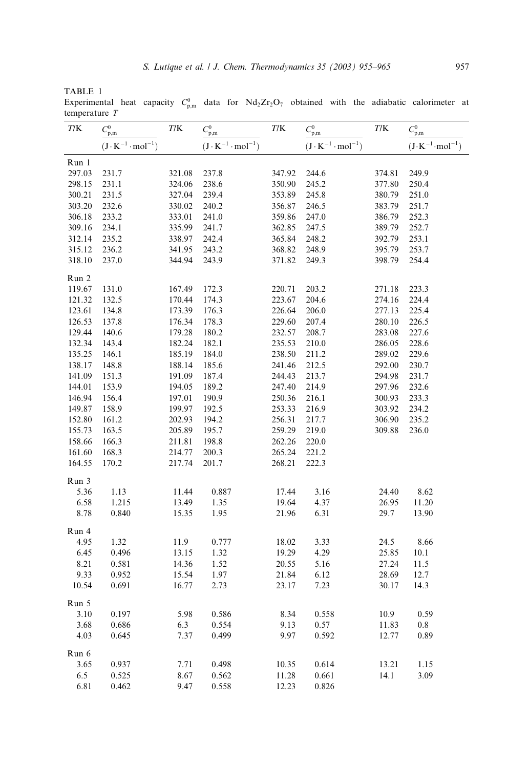TABLE 1

Experimental heat capacity  $C_{p,m}^0$  data for  $Nd_2Zr_2O_7$  obtained with the adiabatic calorimeter at temperature T 4

| T/K    | $C_{\rm p,m}^0$                   | T/K    | $C_{\rm p,m}^0$                   | T/K    | $C^0_{\rm p,m}$                   | T/K    | $C_{\rm p,m}^0$                   |
|--------|-----------------------------------|--------|-----------------------------------|--------|-----------------------------------|--------|-----------------------------------|
|        | $(J \cdot K^{-1} \cdot mol^{-1})$ |        | $(J \cdot K^{-1} \cdot mol^{-1})$ |        | $(J \cdot K^{-1} \cdot mol^{-1})$ |        | $(J \cdot K^{-1} \cdot mol^{-1})$ |
| Run 1  |                                   |        |                                   |        |                                   |        |                                   |
| 297.03 | 231.7                             | 321.08 | 237.8                             | 347.92 | 244.6                             | 374.81 | 249.9                             |
| 298.15 | 231.1                             | 324.06 | 238.6                             | 350.90 | 245.2                             | 377.80 | 250.4                             |
| 300.21 | 231.5                             | 327.04 | 239.4                             | 353.89 | 245.8                             | 380.79 | 251.0                             |
| 303.20 | 232.6                             | 330.02 | 240.2                             | 356.87 | 246.5                             | 383.79 | 251.7                             |
| 306.18 | 233.2                             | 333.01 | 241.0                             | 359.86 | 247.0                             | 386.79 | 252.3                             |
| 309.16 | 234.1                             | 335.99 | 241.7                             | 362.85 | 247.5                             | 389.79 | 252.7                             |
| 312.14 | 235.2                             | 338.97 | 242.4                             | 365.84 | 248.2                             | 392.79 | 253.1                             |
| 315.12 | 236.2                             | 341.95 | 243.2                             | 368.82 | 248.9                             | 395.79 | 253.7                             |
| 318.10 | 237.0                             | 344.94 | 243.9                             | 371.82 | 249.3                             | 398.79 | 254.4                             |
| Run 2  |                                   |        |                                   |        |                                   |        |                                   |
| 119.67 | 131.0                             | 167.49 | 172.3                             | 220.71 | 203.2                             | 271.18 | 223.3                             |
| 121.32 | 132.5                             | 170.44 | 174.3                             | 223.67 | 204.6                             | 274.16 | 224.4                             |
| 123.61 | 134.8                             | 173.39 | 176.3                             | 226.64 | 206.0                             | 277.13 | 225.4                             |
| 126.53 | 137.8                             | 176.34 | 178.3                             | 229.60 | 207.4                             | 280.10 | 226.5                             |
| 129.44 | 140.6                             | 179.28 | 180.2                             | 232.57 | 208.7                             | 283.08 | 227.6                             |
| 132.34 | 143.4                             | 182.24 | 182.1                             | 235.53 | 210.0                             | 286.05 | 228.6                             |
| 135.25 | 146.1                             | 185.19 | 184.0                             | 238.50 | 211.2                             | 289.02 | 229.6                             |
| 138.17 | 148.8                             | 188.14 | 185.6                             | 241.46 | 212.5                             | 292.00 | 230.7                             |
| 141.09 | 151.3                             | 191.09 | 187.4                             | 244.43 | 213.7                             | 294.98 | 231.7                             |
| 144.01 | 153.9                             | 194.05 | 189.2                             | 247.40 | 214.9                             | 297.96 | 232.6                             |
| 146.94 | 156.4                             | 197.01 | 190.9                             | 250.36 | 216.1                             | 300.93 | 233.3                             |
| 149.87 | 158.9                             | 199.97 | 192.5                             | 253.33 | 216.9                             | 303.92 | 234.2                             |
| 152.80 | 161.2                             | 202.93 | 194.2                             | 256.31 | 217.7                             | 306.90 | 235.2                             |
| 155.73 | 163.5                             | 205.89 | 195.7                             | 259.29 | 219.0                             | 309.88 | 236.0                             |
| 158.66 | 166.3                             | 211.81 | 198.8                             | 262.26 | 220.0                             |        |                                   |
| 161.60 | 168.3                             | 214.77 | 200.3                             | 265.24 | 221.2                             |        |                                   |
| 164.55 | 170.2                             | 217.74 | 201.7                             | 268.21 | 222.3                             |        |                                   |
| Run 3  |                                   |        |                                   |        |                                   |        |                                   |
| 5.36   | 1.13                              | 11.44  | 0.887                             | 17.44  | 3.16                              | 24.40  | 8.62                              |
| 6.58   | 1.215                             | 13.49  | 1.35                              | 19.64  | 4.37                              | 26.95  | 11.20                             |
| 8.78   | 0.840                             | 15.35  | 1.95                              | 21.96  | 6.31                              | 29.7   | 13.90                             |
| Run 4  |                                   |        |                                   |        |                                   |        |                                   |
| 4.95   | 1.32                              | 11.9   | 0.777                             | 18.02  | 3.33                              | 24.5   | 8.66                              |
| 6.45   | 0.496                             | 13.15  | 1.32                              | 19.29  | 4.29                              | 25.85  | 10.1                              |
| 8.21   | 0.581                             | 14.36  | 1.52                              | 20.55  | 5.16                              | 27.24  | 11.5                              |
| 9.33   | 0.952                             | 15.54  | 1.97                              | 21.84  | 6.12                              | 28.69  | 12.7                              |
| 10.54  | 0.691                             | 16.77  | 2.73                              | 23.17  | 7.23                              | 30.17  | 14.3                              |
| Run 5  |                                   |        |                                   |        |                                   |        |                                   |
| 3.10   | 0.197                             | 5.98   | 0.586                             | 8.34   | 0.558                             | 10.9   | 0.59                              |
| 3.68   | 0.686                             | 6.3    | 0.554                             | 9.13   | 0.57                              | 11.83  | 0.8                               |
| 4.03   | 0.645                             | 7.37   | 0.499                             | 9.97   | 0.592                             | 12.77  | 0.89                              |
| Run 6  |                                   |        |                                   |        |                                   |        |                                   |
| 3.65   | 0.937                             | 7.71   | 0.498                             | 10.35  | 0.614                             | 13.21  | 1.15                              |
| 6.5    | 0.525                             | 8.67   | 0.562                             | 11.28  | 0.661                             | 14.1   | 3.09                              |
| 6.81   | 0.462                             | 9.47   | 0.558                             | 12.23  | 0.826                             |        |                                   |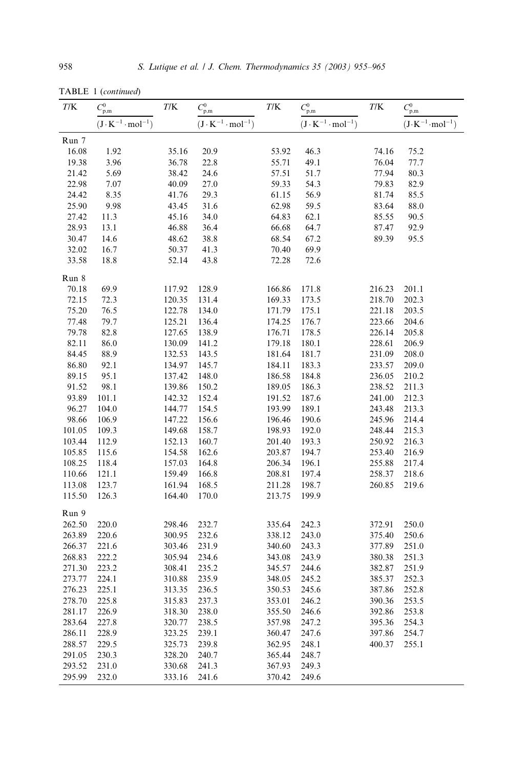| T/K              | $C_{\rm p,m}^0$                   | T/K              | $C^0_{\rm p,m}$                   | T/K              | $C_{\rm p,m}^0$                   | T/K              | $C_{\rm p,m}^0$                   |
|------------------|-----------------------------------|------------------|-----------------------------------|------------------|-----------------------------------|------------------|-----------------------------------|
|                  | $(J \cdot K^{-1} \cdot mol^{-1})$ |                  | $(J \cdot K^{-1} \cdot mol^{-1})$ |                  | $(J \cdot K^{-1} \cdot mol^{-1})$ |                  | $(J \cdot K^{-1} \cdot mol^{-1})$ |
| Run 7            |                                   |                  |                                   |                  |                                   |                  |                                   |
| 16.08            | 1.92                              | 35.16            | 20.9                              | 53.92            | 46.3                              | 74.16            | 75.2                              |
| 19.38            | 3.96                              | 36.78            | 22.8                              | 55.71            | 49.1                              | 76.04            | 77.7                              |
| 21.42            | 5.69                              | 38.42            | 24.6                              | 57.51            | 51.7                              | 77.94            | 80.3                              |
| 22.98            | 7.07                              | 40.09            | 27.0                              | 59.33            | 54.3                              | 79.83            | 82.9                              |
| 24.42            | 8.35                              | 41.76            | 29.3                              | 61.15            | 56.9                              | 81.74            | 85.5                              |
| 25.90            | 9.98                              | 43.45            | 31.6                              | 62.98            | 59.5                              | 83.64            | 88.0                              |
| 27.42            | 11.3                              | 45.16            | 34.0                              | 64.83            | 62.1                              | 85.55            | 90.5                              |
| 28.93            | 13.1                              | 46.88            | 36.4                              | 66.68            | 64.7                              | 87.47            | 92.9                              |
| 30.47            | 14.6                              | 48.62            | 38.8                              | 68.54            | 67.2                              | 89.39            | 95.5                              |
| 32.02            | 16.7                              | 50.37            | 41.3                              | 70.40            | 69.9                              |                  |                                   |
| 33.58            | 18.8                              | 52.14            | 43.8                              | 72.28            | 72.6                              |                  |                                   |
| Run 8            |                                   |                  |                                   |                  |                                   |                  |                                   |
| 70.18            | 69.9                              | 117.92           | 128.9                             | 166.86           | 171.8                             | 216.23           | 201.1                             |
| 72.15            | 72.3                              | 120.35           | 131.4                             | 169.33           | 173.5                             | 218.70           | 202.3                             |
| 75.20            | 76.5                              | 122.78           | 134.0                             | 171.79           | 175.1                             | 221.18           | 203.5                             |
| 77.48            | 79.7                              | 125.21           | 136.4                             | 174.25           | 176.7                             | 223.66           | 204.6                             |
| 79.78            | 82.8                              | 127.65           | 138.9                             | 176.71           | 178.5                             | 226.14           | 205.8                             |
| 82.11            | 86.0                              | 130.09           | 141.2                             | 179.18           | 180.1                             | 228.61           | 206.9                             |
| 84.45            | 88.9                              | 132.53           | 143.5                             | 181.64           | 181.7                             | 231.09           | 208.0                             |
| 86.80            | 92.1                              | 134.97           | 145.7                             | 184.11           | 183.3                             | 233.57           | 209.0                             |
| 89.15            | 95.1                              | 137.42           | 148.0                             | 186.58           | 184.8                             | 236.05           | 210.2                             |
| 91.52            | 98.1                              | 139.86           | 150.2                             | 189.05           | 186.3                             | 238.52           | 211.3                             |
| 93.89            | 101.1                             | 142.32           | 152.4                             | 191.52           | 187.6                             | 241.00           | 212.3                             |
| 96.27            | 104.0                             | 144.77           | 154.5                             | 193.99           | 189.1                             | 243.48           | 213.3                             |
| 98.66            | 106.9                             | 147.22           | 156.6                             | 196.46           | 190.6                             | 245.96           | 214.4                             |
| 101.05           | 109.3                             | 149.68           | 158.7                             | 198.93           | 192.0                             | 248.44           | 215.3                             |
| 103.44           | 112.9                             | 152.13           | 160.7                             | 201.40           | 193.3                             | 250.92           | 216.3                             |
| 105.85           | 115.6                             | 154.58           | 162.6                             | 203.87           | 194.7                             | 253.40           | 216.9                             |
| 108.25           | 118.4                             | 157.03           | 164.8                             | 206.34           | 196.1                             | 255.88           | 217.4                             |
| 110.66           | 121.1                             | 159.49           | 166.8                             | 208.81           | 197.4                             | 258.37           | 218.6                             |
| 113.08           | 123.7                             | 161.94           | 168.5                             | 211.28           | 198.7                             | 260.85           | 219.6                             |
| 115.50           | 126.3                             | 164.40           | 170.0                             | 213.75           | 199.9                             |                  |                                   |
| Run 9            |                                   |                  |                                   |                  |                                   |                  |                                   |
| 262.50           | 220.0                             | 298.46           | 232.7                             | 335.64           | 242.3                             | 372.91           | 250.0                             |
| 263.89           | 220.6                             | 300.95           | 232.6                             | 338.12           | 243.0                             | 375.40           | 250.6                             |
| 266.37           | 221.6                             | 303.46           | 231.9                             | 340.60           | 243.3                             | 377.89           | 251.0                             |
| 268.83           | 222.2                             | 305.94           | 234.6                             | 343.08           | 243.9                             | 380.38           | 251.3                             |
| 271.30           | 223.2                             | 308.41           | 235.2<br>235.9                    | 345.57<br>348.05 | 244.6                             | 382.87           | 251.9                             |
| 273.77<br>276.23 | 224.1<br>225.1                    | 310.88<br>313.35 | 236.5                             | 350.53           | 245.2<br>245.6                    | 385.37<br>387.86 | 252.3<br>252.8                    |
| 278.70           | 225.8                             | 315.83           | 237.3                             | 353.01           | 246.2                             | 390.36           | 253.5                             |
|                  |                                   |                  |                                   |                  |                                   |                  |                                   |
| 281.17<br>283.64 | 226.9<br>227.8                    | 318.30<br>320.77 | 238.0<br>238.5                    | 355.50<br>357.98 | 246.6<br>247.2                    | 392.86<br>395.36 | 253.8<br>254.3                    |
| 286.11           | 228.9                             | 323.25           | 239.1                             |                  | 247.6                             | 397.86           | 254.7                             |
| 288.57           | 229.5                             | 325.73           | 239.8                             | 360.47<br>362.95 | 248.1                             | 400.37           | 255.1                             |
| 291.05           | 230.3                             | 328.20           | 240.7                             | 365.44           | 248.7                             |                  |                                   |
| 293.52           | 231.0                             | 330.68           | 241.3                             | 367.93           | 249.3                             |                  |                                   |
| 295.99           | 232.0                             | 333.16           | 241.6                             | 370.42           | 249.6                             |                  |                                   |
|                  |                                   |                  |                                   |                  |                                   |                  |                                   |

TABLE 1 (continued)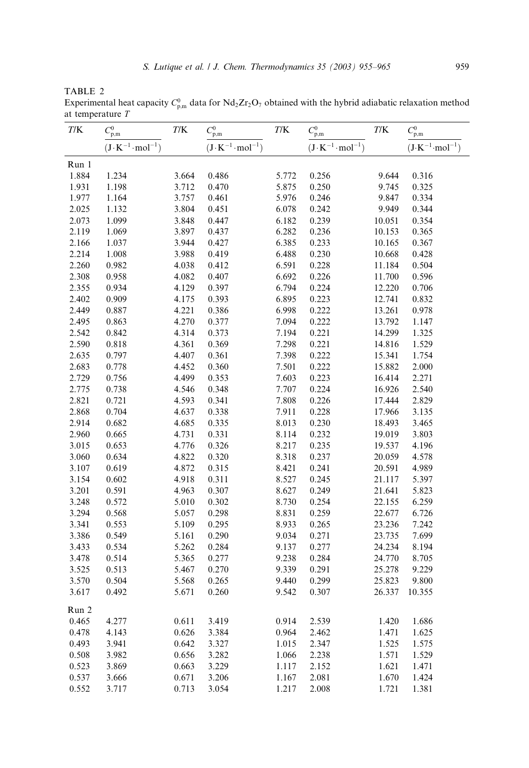TABLE 2

Experimental heat capacity  $C_{p,m}^0$  data for Nd<sub>2</sub>Zr<sub>2</sub>O<sub>7</sub> obtained with the hybrid adiabatic relaxation method at temperature T  $\overline{a}$ 

| T/K   | $C_{\rm p,m}^0$                   | T/K   | $C_{\rm p,m}^0$                   | $T\!/\mathrm{K}$ | $C_{\rm p,m}^0$                   | T/K    | $C_{\rm p,m}^0$                   |
|-------|-----------------------------------|-------|-----------------------------------|------------------|-----------------------------------|--------|-----------------------------------|
|       | $(J \cdot K^{-1} \cdot mol^{-1})$ |       | $(J \cdot K^{-1} \cdot mol^{-1})$ |                  | $(J \cdot K^{-1} \cdot mol^{-1})$ |        | $(J \cdot K^{-1} \cdot mol^{-1})$ |
| Run 1 |                                   |       |                                   |                  |                                   |        |                                   |
| 1.884 | 1.234                             | 3.664 | 0.486                             | 5.772            | 0.256                             | 9.644  | 0.316                             |
| 1.931 | 1.198                             | 3.712 | 0.470                             | 5.875            | 0.250                             | 9.745  | 0.325                             |
| 1.977 | 1.164                             | 3.757 | 0.461                             | 5.976            | 0.246                             | 9.847  | 0.334                             |
| 2.025 | 1.132                             | 3.804 | 0.451                             | 6.078            | 0.242                             | 9.949  | 0.344                             |
| 2.073 | 1.099                             | 3.848 | 0.447                             | 6.182            | 0.239                             | 10.051 | 0.354                             |
| 2.119 | 1.069                             | 3.897 | 0.437                             | 6.282            | 0.236                             | 10.153 | 0.365                             |
| 2.166 | 1.037                             | 3.944 | 0.427                             | 6.385            | 0.233                             | 10.165 | 0.367                             |
| 2.214 | 1.008                             | 3.988 | 0.419                             | 6.488            | 0.230                             | 10.668 | 0.428                             |
| 2.260 | 0.982                             | 4.038 | 0.412                             | 6.591            | 0.228                             | 11.184 | 0.504                             |
| 2.308 | 0.958                             | 4.082 | 0.407                             | 6.692            | 0.226                             | 11.700 | 0.596                             |
| 2.355 | 0.934                             | 4.129 | 0.397                             | 6.794            | 0.224                             | 12.220 | 0.706                             |
| 2.402 | 0.909                             | 4.175 | 0.393                             | 6.895            | 0.223                             | 12.741 | 0.832                             |
| 2.449 | 0.887                             | 4.221 | 0.386                             | 6.998            | 0.222                             | 13.261 | 0.978                             |
| 2.495 | 0.863                             | 4.270 | 0.377                             | 7.094            | 0.222                             | 13.792 | 1.147                             |
| 2.542 | 0.842                             | 4.314 | 0.373                             | 7.194            | 0.221                             | 14.299 | 1.325                             |
| 2.590 | 0.818                             | 4.361 | 0.369                             | 7.298            | 0.221                             | 14.816 | 1.529                             |
| 2.635 | 0.797                             | 4.407 | 0.361                             | 7.398            | 0.222                             | 15.341 | 1.754                             |
| 2.683 | 0.778                             | 4.452 | 0.360                             | 7.501            | 0.222                             | 15.882 | 2.000                             |
| 2.729 | 0.756                             | 4.499 | 0.353                             | 7.603            | 0.223                             | 16.414 | 2.271                             |
| 2.775 | 0.738                             | 4.546 | 0.348                             | 7.707            | 0.224                             | 16.926 | 2.540                             |
| 2.821 | 0.721                             | 4.593 | 0.341                             | 7.808            | 0.226                             | 17.444 | 2.829                             |
| 2.868 | 0.704                             | 4.637 | 0.338                             | 7.911            | 0.228                             | 17.966 | 3.135                             |
| 2.914 | 0.682                             | 4.685 | 0.335                             | 8.013            | 0.230                             | 18.493 | 3.465                             |
| 2.960 | 0.665                             | 4.731 | 0.331                             | 8.114            | 0.232                             | 19.019 | 3.803                             |
| 3.015 | 0.653                             | 4.776 | 0.326                             | 8.217            | 0.235                             | 19.537 | 4.196                             |
| 3.060 | 0.634                             | 4.822 | 0.320                             | 8.318            | 0.237                             | 20.059 | 4.578                             |
| 3.107 | 0.619                             | 4.872 | 0.315                             | 8.421            | 0.241                             | 20.591 | 4.989                             |
| 3.154 | 0.602                             | 4.918 | 0.311                             | 8.527            | 0.245                             | 21.117 | 5.397                             |
| 3.201 | 0.591                             | 4.963 | 0.307                             | 8.627            | 0.249                             | 21.641 | 5.823                             |
| 3.248 | 0.572                             | 5.010 | 0.302                             | 8.730            | 0.254                             | 22.155 | 6.259                             |
| 3.294 | 0.568                             | 5.057 | 0.298                             | 8.831            | 0.259                             | 22.677 | 6.726                             |
| 3.341 | 0.553                             | 5.109 | 0.295                             | 8.933            | 0.265                             | 23.236 | 7.242                             |
| 3.386 | 0.549                             | 5.161 | 0.290                             | 9.034            | 0.271                             | 23.735 | 7.699                             |
| 3.433 | 0.534                             | 5.262 | 0.284                             | 9.137            | 0.277                             | 24.234 | 8.194                             |
| 3.478 | 0.514                             | 5.365 | 0.277                             | 9.238            | 0.284                             | 24.770 | 8.705                             |
| 3.525 | 0.513                             | 5.467 | 0.270                             | 9.339            | 0.291                             | 25.278 | 9.229                             |
| 3.570 | 0.504                             | 5.568 | 0.265                             | 9.440            | 0.299                             | 25.823 | 9.800                             |
| 3.617 | 0.492                             | 5.671 | 0.260                             | 9.542            | 0.307                             | 26.337 | 10.355                            |
| Run 2 |                                   |       |                                   |                  |                                   |        |                                   |
| 0.465 | 4.277                             | 0.611 | 3.419                             | 0.914            | 2.539                             | 1.420  | 1.686                             |
| 0.478 | 4.143                             | 0.626 | 3.384                             | 0.964            | 2.462                             | 1.471  | 1.625                             |
| 0.493 | 3.941                             | 0.642 | 3.327                             | 1.015            | 2.347                             | 1.525  | 1.575                             |
| 0.508 | 3.982                             | 0.656 | 3.282                             | 1.066            | 2.238                             | 1.571  | 1.529                             |
| 0.523 | 3.869                             | 0.663 | 3.229                             | 1.117            | 2.152                             | 1.621  | 1.471                             |
| 0.537 | 3.666                             | 0.671 | 3.206                             | 1.167            | 2.081                             | 1.670  | 1.424                             |
| 0.552 | 3.717                             | 0.713 | 3.054                             | 1.217            | 2.008                             | 1.721  | 1.381                             |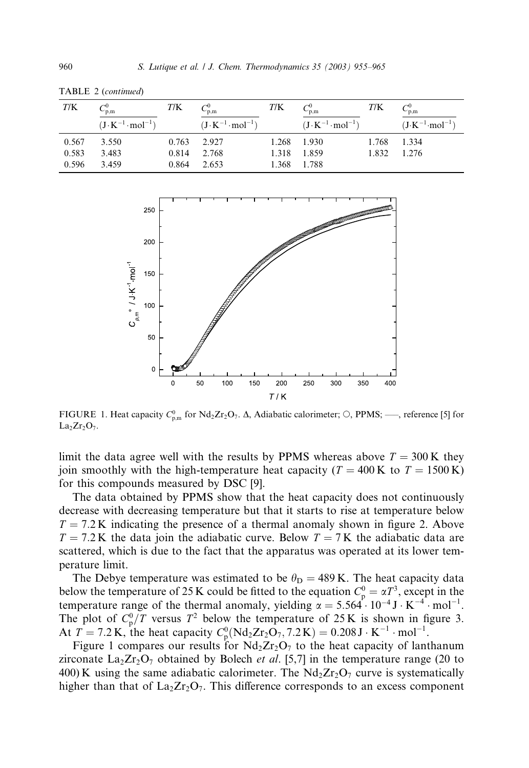| T/K                     | $v_{p,m}$<br>$(J \cdot K^{-1} \cdot mol^{-1})$ | T/K            | p.m<br>$(J \cdot K^{-1} \cdot mol^{-1})$ | T/K | $C_{\rm p,m}^0$<br>$(J \cdot K^{-1} \cdot mol^{-1})$ | T/K | $v_{p,m}$<br>$(J \cdot K^{-1} \cdot mol^{-1})$ |
|-------------------------|------------------------------------------------|----------------|------------------------------------------|-----|------------------------------------------------------|-----|------------------------------------------------|
| 0.567<br>0.583<br>0.596 | 3.550<br>3.483<br>3.459                        | 0.814<br>0.864 | $0.763$ 2.927<br>2.768<br>2.653          |     | 1.268 1.930<br>1.318 1.859<br>1.368 1.788            |     | 1.768 1.334<br>1.832 1.276                     |

TABLE 2 (continued)



FIGURE 1. Heat capacity  $C_{p,m}^0$  for  $Nd_2Zr_2O_7$ .  $\Delta$ , Adiabatic calorimeter;  $\circ$ , PPMS; —, reference [5] for  $La<sub>2</sub>Zr<sub>2</sub>O<sub>7</sub>$ .

limit the data agree well with the results by PPMS whereas above  $T = 300 \text{ K}$  they join smoothly with the high-temperature heat capacity ( $T = 400 \text{ K}$  to  $T = 1500 \text{ K}$ ) for this compounds measured by DSC [9].

The data obtained by PPMS show that the heat capacity does not continuously decrease with decreasing temperature but that it starts to rise at temperature below  $T = 7.2$  K indicating the presence of a thermal anomaly shown in figure 2. Above  $T = 7.2$  K the data join the adiabatic curve. Below  $T = 7$  K the adiabatic data are scattered, which is due to the fact that the apparatus was operated at its lower temperature limit.

The Debye temperature was estimated to be  $\theta_{\rm D} = 489$  K. The heat capacity data below the temperature of 25 K could be fitted to the equation  $C_p^0 = \alpha T^3$ , except in the temperature range of the thermal anomaly, yielding  $\alpha = 5.564 \cdot 10^{-4} \text{ J} \cdot \text{K}^{-4} \cdot \text{mol}^{-1}$ . The plot of  $C_p^0/T$  versus  $T^2$  below the temperature of 25 K is shown in figure 3. At  $T = 7.2$  K, the heat capacity  $C_p^0(Nd_2Zr_2O_7, 7.2 K) = 0.208 J \cdot K^{-1} \cdot mol^{-1}$ .

Figure 1 compares our results for  $Nd_2Zr_2O_7$  to the heat capacity of lanthanum zirconate  $\text{La}_2\text{Zr}_2\text{O}_7$  obtained by Bolech *et al.* [5,7] in the temperature range (20 to 400) K using the same adiabatic calorimeter. The  $Nd_2Zr_2O_7$  curve is systematically higher than that of  $La_2Zr_2O_7$ . This difference corresponds to an excess component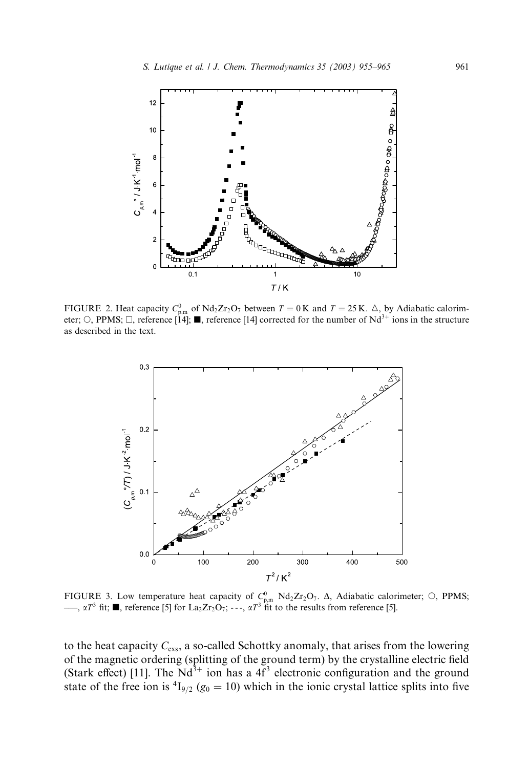

FIGURE 2. Heat capacity  $C_{p,m}^0$  of Nd<sub>2</sub>Zr<sub>2</sub>O<sub>7</sub> between  $T = 0$ K and  $T = 25$ K.  $\Delta$ , by Adiabatic calorimeter; O, PPMS;  $\Box$ , reference [14];  $\blacksquare$ , reference [14] corrected for the number of Nd<sup>3+</sup> ions in the structure as described in the text.



FIGURE 3. Low temperature heat capacity of  $C_{p,m}^0$  Nd<sub>2</sub>Zr<sub>2</sub>O<sub>7</sub>.  $\Delta$ , Adiabatic calorimeter;  $\circ$ , PPMS;  $\longrightarrow$ ,  $\alpha T^3$  fit;  $\blacksquare$ , reference [5] for La<sub>2</sub>Zr<sub>2</sub>O<sub>7</sub>; - - -,  $\alpha T^3$  fit to the results from reference [5].

to the heat capacity  $C_{\text{exs}}$ , a so-called Schottky anomaly, that arises from the lowering of the magnetic ordering (splitting of the ground term) by the crystalline electric field (Stark effect) [11]. The  $Nd^{3+}$  ion has a  $4f^3$  electronic configuration and the ground state of the free ion is  ${}^{4}I_{9/2}$  ( $g_0 = 10$ ) which in the ionic crystal lattice splits into five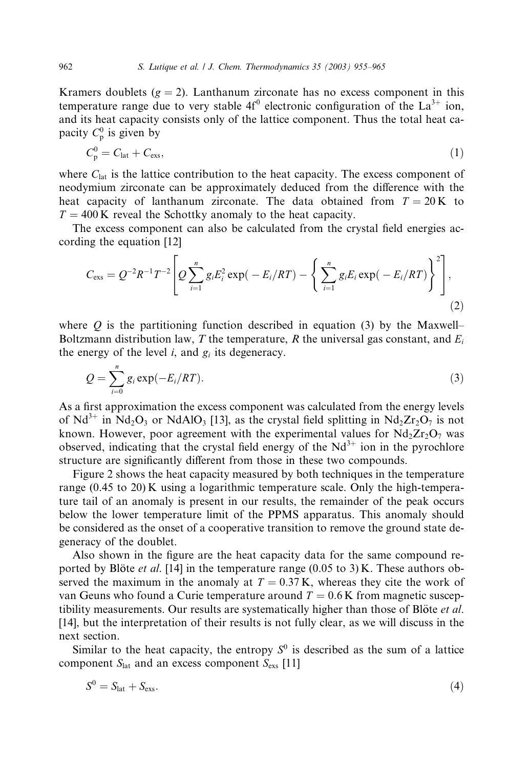Kramers doublets ( $g = 2$ ). Lanthanum zirconate has no excess component in this temperature range due to very stable  $4f^0$  electronic configuration of the La<sup>3+</sup> ion, and its heat capacity consists only of the lattice component. Thus the total heat capacity  $C_p^0$  is given by

$$
C_{\rm p}^0 = C_{\rm lat} + C_{\rm exs},\tag{1}
$$

where  $C<sub>lat</sub>$  is the lattice contribution to the heat capacity. The excess component of neodymium zirconate can be approximately deduced from the difference with the heat capacity of lanthanum zirconate. The data obtained from  $T = 20 \text{ K}$  to  $T = 400$  K reveal the Schottky anomaly to the heat capacity.

The excess component can also be calculated from the crystal field energies according the equation [12]

$$
C_{\rm exs} = Q^{-2}R^{-1}T^{-2} \left[ Q \sum_{i=1}^{n} g_i E_i^2 \exp(-E_i/RT) - \left\{ \sum_{i=1}^{n} g_i E_i \exp(-E_i/RT) \right\}^2 \right],
$$
\n(2)

where  $Q$  is the partitioning function described in equation (3) by the Maxwell– Boltzmann distribution law, T the temperature, R the universal gas constant, and  $E_i$ the energy of the level  $i$ , and  $g_i$  its degeneracy.

$$
Q = \sum_{i=0}^{n} g_i \exp(-E_i/RT). \tag{3}
$$

As a first approximation the excess component was calculated from the energy levels of Nd<sup>3+</sup> in Nd<sub>2</sub>O<sub>3</sub> or NdAlO<sub>3</sub> [13], as the crystal field splitting in Nd<sub>2</sub>Zr<sub>2</sub>O<sub>7</sub> is not known. However, poor agreement with the experimental values for  $Nd_2Zr_2O_7$  was observed, indicating that the crystal field energy of the  $Nd^{3+}$  ion in the pyrochlore structure are significantly different from those in these two compounds.

Figure 2 shows the heat capacity measured by both techniques in the temperature range (0.45 to 20) K using a logarithmic temperature scale. Only the high-temperature tail of an anomaly is present in our results, the remainder of the peak occurs below the lower temperature limit of the PPMS apparatus. This anomaly should be considered as the onset of a cooperative transition to remove the ground state degeneracy of the doublet.

Also shown in the figure are the heat capacity data for the same compound reported by Blote *et al.* [14] in the temperature range (0.05 to 3) K. These authors observed the maximum in the anomaly at  $T = 0.37$  K, whereas they cite the work of van Geuns who found a Curie temperature around  $T = 0.6$  K from magnetic susceptibility measurements. Our results are systematically higher than those of Blöte  $et al$ . [14], but the interpretation of their results is not fully clear, as we will discuss in the next section.

Similar to the heat capacity, the entropy  $S^0$  is described as the sum of a lattice component  $S<sub>lat</sub>$  and an excess component  $S<sub>exs</sub>$  [11]

$$
S^0 = S_{\text{lat}} + S_{\text{ex}}.\tag{4}
$$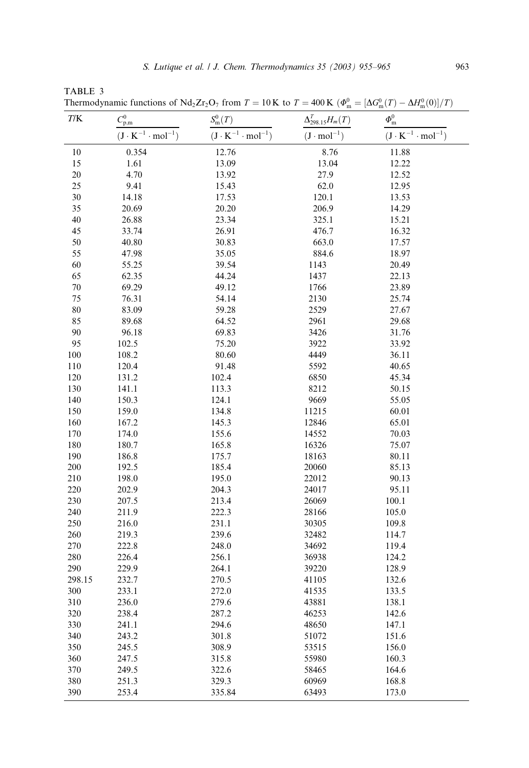| T/K    |                                   | <b>Thermodynamic functions of <math>Nq_2\text{Z}r_2\text{O}_7</math> from <math>T = 10 \text{ K}</math> to <math>T = 400 \text{ K}</math> (<math>\varphi_{\text{m}}^2</math>)</b> | $\Delta_{298.15}^{T}H_m(T)$ | $= [\Delta G_{m}^{S}(I)]$<br>$-\Delta H_{\rm m}^{(0)}(0)]/I$ ) |
|--------|-----------------------------------|-----------------------------------------------------------------------------------------------------------------------------------------------------------------------------------|-----------------------------|----------------------------------------------------------------|
|        | $C^0_{\rm p,m}$                   | $S_{\rm m}^0(T)$                                                                                                                                                                  |                             | $\varPhi_{\rm m}^0$                                            |
|        | $(J \cdot K^{-1} \cdot mol^{-1})$ | $(J \cdot K^{-1} \cdot mol^{-1})$                                                                                                                                                 | $(J \cdot mol^{-1})$        | $(J \cdot K^{-1} \cdot mol^{-1})$                              |
| 10     | 0.354                             | 12.76                                                                                                                                                                             | 8.76                        | 11.88                                                          |
| 15     | 1.61                              | 13.09                                                                                                                                                                             | 13.04                       | 12.22                                                          |
| 20     | 4.70                              | 13.92                                                                                                                                                                             | 27.9                        | 12.52                                                          |
| 25     | 9.41                              | 15.43                                                                                                                                                                             | 62.0                        | 12.95                                                          |
| 30     | 14.18                             | 17.53                                                                                                                                                                             | 120.1                       | 13.53                                                          |
| 35     | 20.69                             | 20.20                                                                                                                                                                             | 206.9                       | 14.29                                                          |
| 40     | 26.88                             | 23.34                                                                                                                                                                             | 325.1                       | 15.21                                                          |
| 45     | 33.74                             | 26.91                                                                                                                                                                             | 476.7                       | 16.32                                                          |
| 50     | 40.80                             | 30.83                                                                                                                                                                             | 663.0                       | 17.57                                                          |
| 55     | 47.98                             | 35.05                                                                                                                                                                             | 884.6                       | 18.97                                                          |
| 60     | 55.25                             | 39.54                                                                                                                                                                             | 1143                        | 20.49                                                          |
| 65     | 62.35                             | 44.24                                                                                                                                                                             | 1437                        | 22.13                                                          |
| 70     | 69.29                             | 49.12                                                                                                                                                                             | 1766                        | 23.89                                                          |
| 75     | 76.31                             | 54.14                                                                                                                                                                             | 2130                        | 25.74                                                          |
| 80     | 83.09                             | 59.28                                                                                                                                                                             | 2529                        | 27.67                                                          |
| 85     | 89.68                             | 64.52                                                                                                                                                                             | 2961                        | 29.68                                                          |
| 90     | 96.18                             | 69.83                                                                                                                                                                             | 3426                        | 31.76                                                          |
| 95     | 102.5                             | 75.20                                                                                                                                                                             | 3922                        | 33.92                                                          |
| 100    | 108.2                             | 80.60                                                                                                                                                                             | 4449                        | 36.11                                                          |
| 110    | 120.4                             | 91.48                                                                                                                                                                             | 5592                        | 40.65                                                          |
| 120    | 131.2                             | 102.4                                                                                                                                                                             | 6850                        | 45.34                                                          |
| 130    | 141.1                             | 113.3                                                                                                                                                                             | 8212                        | 50.15                                                          |
| 140    | 150.3                             | 124.1                                                                                                                                                                             | 9669                        | 55.05                                                          |
| 150    | 159.0                             | 134.8                                                                                                                                                                             | 11215                       | 60.01                                                          |
| 160    | 167.2                             | 145.3                                                                                                                                                                             | 12846                       | 65.01                                                          |
| 170    | 174.0                             | 155.6                                                                                                                                                                             | 14552                       | 70.03                                                          |
| 180    | 180.7                             | 165.8                                                                                                                                                                             | 16326                       | 75.07                                                          |
| 190    | 186.8                             | 175.7                                                                                                                                                                             | 18163                       | 80.11                                                          |
| 200    | 192.5                             | 185.4                                                                                                                                                                             | 20060                       | 85.13                                                          |
| 210    | 198.0                             | 195.0                                                                                                                                                                             | 22012                       | 90.13                                                          |
| 220    | 202.9                             | 204.3                                                                                                                                                                             | 24017                       | 95.11                                                          |
| 230    | 207.5                             | 213.4                                                                                                                                                                             | 26069                       | 100.1                                                          |
| 240    | 211.9                             | 222.3                                                                                                                                                                             | 28166                       | 105.0                                                          |
| 250    | 216.0                             | 231.1                                                                                                                                                                             | 30305                       | 109.8                                                          |
| 260    | 219.3                             | 239.6                                                                                                                                                                             | 32482                       | 114.7                                                          |
| 270    | 222.8                             | 248.0                                                                                                                                                                             | 34692                       | 119.4                                                          |
| 280    | 226.4                             | 256.1                                                                                                                                                                             | 36938                       | 124.2                                                          |
| 290    | 229.9                             | 264.1                                                                                                                                                                             | 39220                       | 128.9                                                          |
| 298.15 | 232.7                             | 270.5                                                                                                                                                                             | 41105                       | 132.6                                                          |
| 300    | 233.1                             | 272.0                                                                                                                                                                             | 41535                       | 133.5                                                          |
| 310    | 236.0                             | 279.6                                                                                                                                                                             | 43881                       | 138.1                                                          |
| 320    | 238.4                             | 287.2                                                                                                                                                                             | 46253                       | 142.6                                                          |
| 330    | 241.1                             | 294.6                                                                                                                                                                             | 48650                       | 147.1                                                          |
| 340    | 243.2                             | 301.8                                                                                                                                                                             | 51072                       | 151.6                                                          |
| 350    | 245.5                             | 308.9                                                                                                                                                                             | 53515                       | 156.0                                                          |
| 360    | 247.5                             | 315.8                                                                                                                                                                             | 55980                       | 160.3                                                          |
| 370    | 249.5                             | 322.6                                                                                                                                                                             | 58465                       | 164.6                                                          |
| 380    | 251.3                             | 329.3                                                                                                                                                                             | 60969                       | 168.8                                                          |

390 253.4 335.84 63493 173.0

TABLE 3<br>Thermodyn Thermodynamic functions of Nd.  $Z_r$ ,  $O_r$  from  $T = 10K$  to  $T = 400K/d0^0$  $\Lambda C^0(T)$  $_{\rm m}^{0}(T)-\Delta H_{\rm m}^{0}(0)]/T$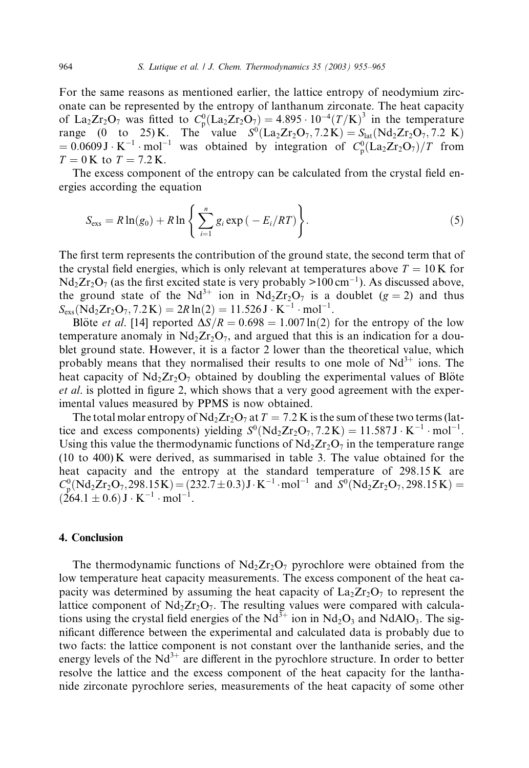For the same reasons as mentioned earlier, the lattice entropy of neodymium zirconate can be represented by the entropy of lanthanum zirconate. The heat capacity of La<sub>2</sub>Zr<sub>2</sub>O<sub>7</sub> was fitted to  $C_p^0(La_2Zr_2O_7) = 4.895 \cdot 10^{-4}(T/K)^3$  in the temperature range (0 to 25) K. The value  $S^0(\text{La}_2\text{Zr}_2\text{O}_7, 7.2 \text{ K}) = S_{\text{lat}}(\text{Nd}_2\text{Zr}_2\text{O}_7, 7.2 \text{ K})$  $= 0.0609 \text{ J} \cdot \text{K}^{-1} \cdot \text{mol}^{-1}$  was obtained by integration of  $C_p^0(La_2Zr_2O_7)/T$  from  $T = 0$  K to  $T = 7.2$  K.

The excess component of the entropy can be calculated from the crystal field energies according the equation

$$
S_{\rm exs} = R \ln(g_0) + R \ln \left\{ \sum_{i=1}^n g_i \exp\left(-E_i/RT\right) \right\}.
$$
 (5)

The first term represents the contribution of the ground state, the second term that of the crystal field energies, which is only relevant at temperatures above  $T = 10$  K for  $Nd_2Zr_2O_7$  (as the first excited state is very probably  $>100 \text{ cm}^{-1}$ ). As discussed above, the ground state of the Nd<sup>3+</sup> ion in Nd<sub>2</sub>Zr<sub>2</sub>O<sub>7</sub> is a doublet (g = 2) and thus  $S_{\rm exs}(\rm Nd_2Zr_2O_7, 7.2 \rm \, K) = 2R \ln(2) = 11.526 \, \rm J \cdot K^{-1} \cdot mol^{-1}.$ 

Blote *et al.* [14] reported  $\Delta S/R = 0.698 = 1.007 \ln(2)$  for the entropy of the low temperature anomaly in  $Nd<sub>2</sub>Zr<sub>2</sub>O<sub>7</sub>$ , and argued that this is an indication for a doublet ground state. However, it is a factor 2 lower than the theoretical value, which probably means that they normalised their results to one mole of  $Nd^{3+}$  ions. The heat capacity of  $N\frac{d_2Zr_2O_7}{dt}$  obtained by doubling the experimental values of Blote et al. is plotted in figure 2, which shows that a very good agreement with the experimental values measured by PPMS is now obtained.

The total molar entropy of  $Nd_2Zr_2O_7$  at  $T = 7.2$  K is the sum of these two terms (lattice and excess components) yielding  $S^0(Nd_2Zr_2O_7, 7.2 K) = 11.587 \text{ J} \cdot \text{K}^{-1} \cdot \text{mol}^{-1}$ . Using this value the thermodynamic functions of  $Nd_2Zr_2O_7$  in the temperature range (10 to 400) K were derived, as summarised in table 3. The value obtained for the heat capacity and the entropy at the standard temperature of 298.15 K are  $C_p^0(Nd_2Zr_2O_7, 298.15K) = (232.7 \pm 0.3) J \cdot K^{-1} \cdot mol^{-1}$  and  $S^0(Nd_2Zr_2O_7, 298.15K) =$  $(264.1 \pm 0.6) \,\text{J} \cdot \text{K}^{-1} \cdot \text{mol}^{-1}.$ 

# 4. Conclusion

The thermodynamic functions of  $Nd_2Zr_2O_7$  pyrochlore were obtained from the low temperature heat capacity measurements. The excess component of the heat capacity was determined by assuming the heat capacity of  $La_2Zr_2O_7$  to represent the lattice component of  $Nd_2Zr_2O_7$ . The resulting values were compared with calculations using the crystal field energies of the  $Nd^{3+}$  ion in  $Nd_2O_3$  and  $NdAlO_3$ . The significant difference between the experimental and calculated data is probably due to two facts: the lattice component is not constant over the lanthanide series, and the energy levels of the  $Nd^{3+}$  are different in the pyrochlore structure. In order to better resolve the lattice and the excess component of the heat capacity for the lanthanide zirconate pyrochlore series, measurements of the heat capacity of some other